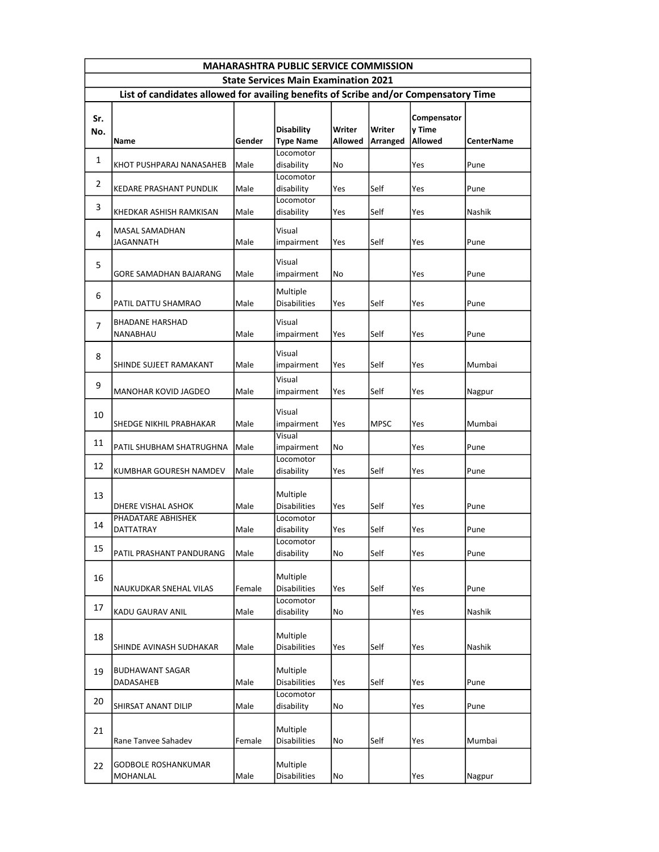| <b>MAHARASHTRA PUBLIC SERVICE COMMISSION</b>                                        |                                     |        |                                 |                |             |             |                   |  |
|-------------------------------------------------------------------------------------|-------------------------------------|--------|---------------------------------|----------------|-------------|-------------|-------------------|--|
| <b>State Services Main Examination 2021</b>                                         |                                     |        |                                 |                |             |             |                   |  |
| List of candidates allowed for availing benefits of Scribe and/or Compensatory Time |                                     |        |                                 |                |             |             |                   |  |
| Sr.                                                                                 |                                     |        |                                 |                |             | Compensator |                   |  |
| No.                                                                                 |                                     |        | <b>Disability</b>               | Writer         | Writer      | y Time      |                   |  |
|                                                                                     | Name                                | Gender | <b>Type Name</b>                | <b>Allowed</b> | Arranged    | Allowed     | <b>CenterName</b> |  |
| $\mathbf{1}$                                                                        |                                     |        | Locomotor                       |                |             |             |                   |  |
|                                                                                     | KHOT PUSHPARAJ NANASAHEB            | Male   | disability                      | No             |             | Yes         | Pune              |  |
| $\overline{2}$                                                                      |                                     |        | Locomotor                       |                |             |             |                   |  |
|                                                                                     | KEDARE PRASHANT PUNDLIK             | Male   | disability<br>Locomotor         | Yes            | Self        | Yes         | Pune              |  |
| 3                                                                                   | KHEDKAR ASHISH RAMKISAN             | Male   | disability                      | Yes            | Self        | Yes         | Nashik            |  |
|                                                                                     |                                     |        |                                 |                |             |             |                   |  |
| $\overline{4}$                                                                      | MASAL SAMADHAN                      |        | Visual                          |                |             |             |                   |  |
|                                                                                     | JAGANNATH                           | Male   | impairment                      | Yes            | Self        | Yes         | Pune              |  |
| 5                                                                                   |                                     |        | Visual                          |                |             |             |                   |  |
|                                                                                     | GORE SAMADHAN BAJARANG              | Male   | impairment                      | No             |             | Yes         | Pune              |  |
|                                                                                     |                                     |        | Multiple                        |                |             |             |                   |  |
| 6                                                                                   | PATIL DATTU SHAMRAO                 | Male   | <b>Disabilities</b>             | Yes            | Self        | Yes         | Pune              |  |
|                                                                                     |                                     |        |                                 |                |             |             |                   |  |
| 7                                                                                   | <b>BHADANE HARSHAD</b>              |        | Visual                          |                |             |             |                   |  |
|                                                                                     | NANABHAU                            | Male   | impairment                      | Yes            | Self        | Yes         | Pune              |  |
| 8                                                                                   |                                     |        | Visual                          |                |             |             |                   |  |
|                                                                                     | SHINDE SUJEET RAMAKANT              | Male   | impairment                      | Yes            | Self        | Yes         | Mumbai            |  |
| 9                                                                                   |                                     |        | Visual                          |                |             |             |                   |  |
|                                                                                     | MANOHAR KOVID JAGDEO                | Male   | impairment                      | Yes            | Self        | Yes         | Nagpur            |  |
|                                                                                     |                                     |        | Visual                          |                |             |             |                   |  |
| 10                                                                                  | SHEDGE NIKHIL PRABHAKAR             | Male   | impairment                      | Yes            | <b>MPSC</b> | Yes         | Mumbai            |  |
|                                                                                     |                                     |        | Visual                          |                |             |             |                   |  |
| 11                                                                                  | PATIL SHUBHAM SHATRUGHNA            | Male   | impairment                      | No             |             | Yes         | Pune              |  |
| 12                                                                                  |                                     |        | Locomotor                       |                |             |             |                   |  |
|                                                                                     | KUMBHAR GOURESH NAMDEV              | Male   | disability                      | Yes            | Self        | Yes         | Pune              |  |
|                                                                                     |                                     |        | Multiple                        |                |             |             |                   |  |
| 13                                                                                  | DHERE VISHAL ASHOK                  | Male   | <b>Disabilities</b>             | Yes            | Self        | Yes         | Pune              |  |
|                                                                                     | PHADATARE ABHISHEK                  |        | Locomotor                       |                |             |             |                   |  |
| 14                                                                                  | DATTATRAY                           | Male   | disability                      | Yes            | Self        | Yes         | Pune              |  |
|                                                                                     |                                     |        | Locomotor                       |                |             |             |                   |  |
| 15                                                                                  | PATIL PRASHANT PANDURANG            | Male   | disability                      | No             | Self        | Yes         | Pune              |  |
|                                                                                     |                                     |        |                                 |                |             |             |                   |  |
| 16                                                                                  |                                     | Female | Multiple<br><b>Disabilities</b> | Yes            | Self        | Yes         | Pune              |  |
|                                                                                     | NAUKUDKAR SNEHAL VILAS              |        | Locomotor                       |                |             |             |                   |  |
| 17                                                                                  | KADU GAURAV ANIL                    | Male   | disability                      | No             |             | Yes         | Nashik            |  |
|                                                                                     |                                     |        |                                 |                |             |             |                   |  |
| 18                                                                                  |                                     |        | Multiple                        |                |             |             |                   |  |
|                                                                                     | SHINDE AVINASH SUDHAKAR             | Male   | <b>Disabilities</b>             | Yes            | Self        | Yes         | Nashik            |  |
|                                                                                     |                                     |        |                                 |                |             |             |                   |  |
| 19                                                                                  | <b>BUDHAWANT SAGAR</b><br>DADASAHEB | Male   | Multiple<br><b>Disabilities</b> | Yes            | Self        | Yes         | Pune              |  |
|                                                                                     |                                     |        | Locomotor                       |                |             |             |                   |  |
| 20                                                                                  | SHIRSAT ANANT DILIP                 | Male   | disability                      | No             |             | Yes         | Pune              |  |
|                                                                                     |                                     |        |                                 |                |             |             |                   |  |
| 21                                                                                  |                                     |        | Multiple                        |                |             |             |                   |  |
|                                                                                     | Rane Tanvee Sahadev                 | Female | <b>Disabilities</b>             | No             | Self        | Yes         | Mumbai            |  |
|                                                                                     | <b>GODBOLE ROSHANKUMAR</b>          |        | Multiple                        |                |             |             |                   |  |
| 22                                                                                  | MOHANLAL                            | Male   | <b>Disabilities</b>             | No             |             | Yes         | Nagpur            |  |
|                                                                                     |                                     |        |                                 |                |             |             |                   |  |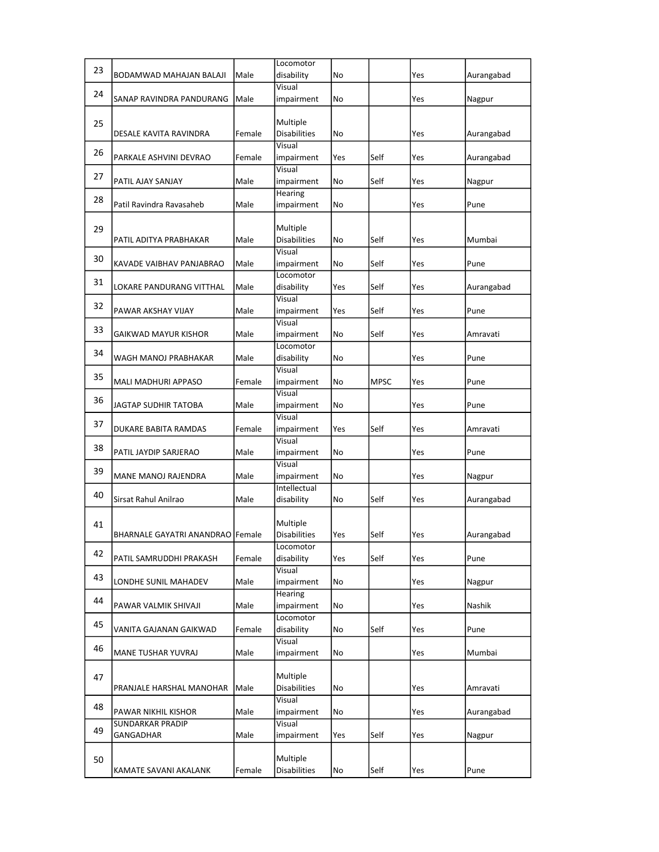|    |                                         |        | Locomotor                       |     |             |     |               |
|----|-----------------------------------------|--------|---------------------------------|-----|-------------|-----|---------------|
| 23 | BODAMWAD MAHAJAN BALAJI                 | Male   | disability                      | No  |             | Yes | Aurangabad    |
| 24 | SANAP RAVINDRA PANDURANG                | Male   | Visual<br>impairment            | No  |             | Yes | Nagpur        |
| 25 | DESALE KAVITA RAVINDRA                  | Female | Multiple<br><b>Disabilities</b> | No  |             | Yes | Aurangabad    |
| 26 | PARKALE ASHVINI DEVRAO                  | Female | Visual<br>impairment            | Yes | Self        | Yes | Aurangabad    |
| 27 | PATIL AJAY SANJAY                       | Male   | Visual<br>impairment            | No  | Self        | Yes | Nagpur        |
| 28 | Patil Ravindra Ravasaheb                | Male   | Hearing<br>impairment           | No  |             | Yes | Pune          |
| 29 | PATIL ADITYA PRABHAKAR                  | Male   | Multiple<br><b>Disabilities</b> | No  | Self        | Yes | Mumbai        |
| 30 | KAVADE VAIBHAV PANJABRAO                | Male   | Visual<br>impairment            | No  | Self        | Yes | Pune          |
| 31 | LOKARE PANDURANG VITTHAL                | Male   | Locomotor<br>disability         | Yes | Self        | Yes | Aurangabad    |
| 32 | PAWAR AKSHAY VIJAY                      | Male   | Visual<br>impairment            | Yes | Self        | Yes | Pune          |
| 33 | GAIKWAD MAYUR KISHOR                    | Male   | Visual<br>impairment            | No  | Self        | Yes | Amravati      |
| 34 | WAGH MANOJ PRABHAKAR                    | Male   | Locomotor<br>disability         | No  |             | Yes | Pune          |
| 35 | MALI MADHURI APPASO                     | Female | Visual<br>impairment            | No  | <b>MPSC</b> | Yes | Pune          |
| 36 | JAGTAP SUDHIR TATOBA                    | Male   | Visual<br>impairment            | No  |             | Yes | Pune          |
| 37 | DUKARE BABITA RAMDAS                    | Female | Visual<br>impairment            | Yes | Self        | Yes | Amravati      |
| 38 | PATIL JAYDIP SARJERAO                   | Male   | Visual<br>impairment            | No  |             | Yes | Pune          |
| 39 | MANE MANOJ RAJENDRA                     | Male   | Visual<br>impairment            | No  |             | Yes | Nagpur        |
| 40 | Sirsat Rahul Anilrao                    | Male   | Intellectual<br>disability      | No  | Self        | Yes | Aurangabad    |
| 41 | <b>BHARNALE GAYATRI ANANDRAO Female</b> |        | Multiple<br><b>Disabilities</b> | Yes | Self        | Yes | Aurangabad    |
| 42 | PATIL SAMRUDDHI PRAKASH                 | Female | Locomotor<br>disability         | Yes | Self        | Yes | Pune          |
| 43 | LONDHE SUNIL MAHADEV                    | Male   | Visual<br>impairment            | No  |             | Yes | Nagpur        |
| 44 | PAWAR VALMIK SHIVAJI                    | Male   | <b>Hearing</b><br>impairment    | No  |             | Yes | <b>Nashik</b> |
| 45 | VANITA GAJANAN GAIKWAD                  | Female | Locomotor<br>disability         | No  | Self        | Yes | Pune          |
| 46 | <b>MANE TUSHAR YUVRAJ</b>               | Male   | Visual<br>impairment            | No  |             | Yes | Mumbai        |
| 47 | PRANJALE HARSHAL MANOHAR                | Male   | Multiple<br><b>Disabilities</b> | No  |             | Yes | Amravati      |
| 48 | PAWAR NIKHIL KISHOR                     | Male   | Visual<br>impairment            | No  |             | Yes | Aurangabad    |
| 49 | <b>SUNDARKAR PRADIP</b><br>GANGADHAR    | Male   | Visual<br>impairment            | Yes | Self        | Yes | Nagpur        |
| 50 | KAMATE SAVANI AKALANK                   | Female | Multiple<br><b>Disabilities</b> | No  | Self        | Yes | Pune          |